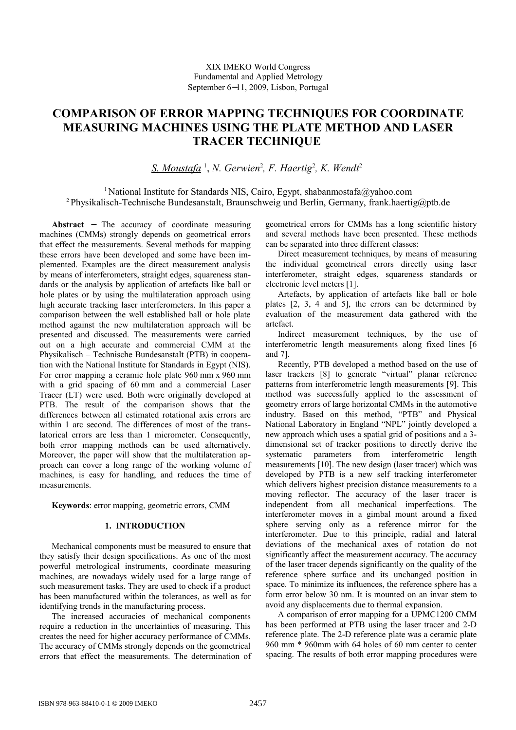# **COMPARISON OF ERROR MAPPING TECHNIQUES FOR COORDINATE MEASURING MACHINES USING THE PLATE METHOD AND LASER TRACER TECHNIQUE**

*S. Moustafa* <sup>1</sup> , *N. Gerwien*<sup>2</sup> *, F. Haertig*<sup>2</sup> *, K. Wendt*<sup>2</sup>

<sup>1</sup> National Institute for Standards NIS, Cairo, Egypt, shabanmostafa@yahoo.com <sup>2</sup> Physikalisch-Technische Bundesanstalt, Braunschweig und Berlin, Germany, frank.haertig@ptb.de

**Abstract** − The accuracy of coordinate measuring machines (CMMs) strongly depends on geometrical errors that effect the measurements. Several methods for mapping these errors have been developed and some have been implemented. Examples are the direct measurement analysis by means of interferometers, straight edges, squareness standards or the analysis by application of artefacts like ball or hole plates or by using the multilateration approach using high accurate tracking laser interferometers. In this paper a comparison between the well established ball or hole plate method against the new multilateration approach will be presented and discussed. The measurements were carried out on a high accurate and commercial CMM at the Physikalisch – Technische Bundesanstalt (PTB) in cooperation with the National Institute for Standards in Egypt (NIS). For error mapping a ceramic hole plate 960 mm x 960 mm with a grid spacing of 60 mm and a commercial Laser Tracer (LT) were used. Both were originally developed at PTB. The result of the comparison shows that the differences between all estimated rotational axis errors are within 1 arc second. The differences of most of the translatorical errors are less than 1 micrometer. Consequently, both error mapping methods can be used alternatively. Moreover, the paper will show that the multilateration approach can cover a long range of the working volume of machines, is easy for handling, and reduces the time of measurements.

**Keywords**: error mapping, geometric errors, CMM

# **1. INTRODUCTION**

Mechanical components must be measured to ensure that they satisfy their design specifications. As one of the most powerful metrological instruments, coordinate measuring machines, are nowadays widely used for a large range of such measurement tasks. They are used to check if a product has been manufactured within the tolerances, as well as for identifying trends in the manufacturing process.

The increased accuracies of mechanical components require a reduction in the uncertainties of measuring. This creates the need for higher accuracy performance of CMMs. The accuracy of CMMs strongly depends on the geometrical errors that effect the measurements. The determination of geometrical errors for CMMs has a long scientific history and several methods have been presented. These methods can be separated into three different classes:

Direct measurement techniques, by means of measuring the individual geometrical errors directly using laser interferometer, straight edges, squareness standards or electronic level meters [1].

Artefacts, by application of artefacts like ball or hole plates [2, 3, 4 and 5], the errors can be determined by evaluation of the measurement data gathered with the artefact.

Indirect measurement techniques, by the use of interferometric length measurements along fixed lines [6 and 7].

Recently, PTB developed a method based on the use of laser trackers [8] to generate "virtual" planar reference patterns from interferometric length measurements [9]. This method was successfully applied to the assessment of geometry errors of large horizontal CMMs in the automotive industry. Based on this method, "PTB" and Physical National Laboratory in England "NPL" jointly developed a new approach which uses a spatial grid of positions and a 3 dimensional set of tracker positions to directly derive the systematic parameters from interferometric length measurements [10]. The new design (laser tracer) which was developed by PTB is a new self tracking interferometer which delivers highest precision distance measurements to a moving reflector. The accuracy of the laser tracer is independent from all mechanical imperfections. The interferometer moves in a gimbal mount around a fixed sphere serving only as a reference mirror for the interferometer. Due to this principle, radial and lateral deviations of the mechanical axes of rotation do not significantly affect the measurement accuracy. The accuracy of the laser tracer depends significantly on the quality of the reference sphere surface and its unchanged position in space. To minimize its influences, the reference sphere has a form error below 30 nm. It is mounted on an invar stem to avoid any displacements due to thermal expansion.

A comparison of error mapping for a UPMC1200 CMM has been performed at PTB using the laser tracer and 2-D reference plate. The 2-D reference plate was a ceramic plate 960 mm \* 960mm with 64 holes of 60 mm center to center spacing. The results of both error mapping procedures were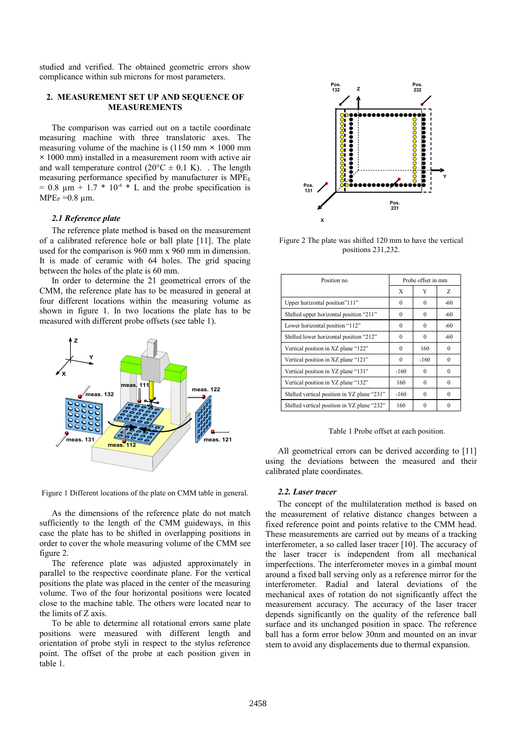studied and verified. The obtained geometric errors show complicance within sub microns for most parameters.

# **2. MEASUREMENT SET UP AND SEQUENCE OF MEASUREMENTS**

The comparison was carried out on a tactile coordinate measuring machine with three translatoric axes. The measuring volume of the machine is (1150 mm **×** 1000 mm **×** 1000 mm) installed in a measurement room with active air and wall temperature control  $(20^{\circ}C \pm 0.1 \text{ K})$ . The length measuring performance specified by manufacturer is  $MPE<sub>E</sub>$  $= 0.8$  um  $+ 1.7 * 10^{-6} * L$  and the probe specification is  $MPE<sub>P</sub> = 0.8$  um.

#### *2.1 Reference plate*

The reference plate method is based on the measurement of a calibrated reference hole or ball plate [11]. The plate used for the comparison is 960 mm x 960 mm in dimension. It is made of ceramic with 64 holes. The grid spacing between the holes of the plate is 60 mm.

In order to determine the 21 geometrical errors of the CMM, the reference plate has to be measured in general at four different locations within the measuring volume as shown in figure 1. In two locations the plate has to be measured with different probe offsets (see table 1).





As the dimensions of the reference plate do not match sufficiently to the length of the CMM guideways, in this case the plate has to be shifted in overlapping positions in order to cover the whole measuring volume of the CMM see figure 2.

The reference plate was adjusted approximately in parallel to the respective coordinate plane. For the vertical positions the plate was placed in the center of the measuring volume. Two of the four horizontal positions were located close to the machine table. The others were located near to the limits of Z axis.

To be able to determine all rotational errors same plate positions were measured with different length and orientation of probe styli in respect to the stylus reference point. The offset of the probe at each position given in table 1.



Figure 2 The plate was shifted 120 mm to have the vertical positions 231,232.

| Position no.                                | Probe offset in mm |          |          |
|---------------------------------------------|--------------------|----------|----------|
|                                             | X                  | Y        | Ζ        |
| Upper horizontal position"111"              | $\theta$           | $\theta$ | $-60$    |
| Shifted upper horizontal position "211"     | $\theta$           | $\theta$ | $-60$    |
| Lower horizontal position "112"             | $\theta$           | $\theta$ | $-60$    |
| Shifted lower horizontal position "212"     | $\theta$           | $\theta$ | $-60$    |
| Vertical position in XZ plane "122"         | 0                  | 160      | 0        |
| Vertical position in XZ plane "121"         | $\theta$           | $-160$   | 0        |
| Vertical position in YZ plane "131"         | $-160$             | $\theta$ | $\Omega$ |
| Vertical position in YZ plane "132"         | 160                | $\theta$ | $\Omega$ |
| Shifted vertical position in YZ plane "231" | $-160$             | $\theta$ | $\Omega$ |
| Shifted vertical position in YZ plane "232" | 160                | $\Omega$ | $\Omega$ |

Table 1 Probe offset at each position.

All geometrical errors can be derived according to [11] using the deviations between the measured and their calibrated plate coordinates.

#### *2.2. Laser tracer*

The concept of the multilateration method is based on the measurement of relative distance changes between a fixed reference point and points relative to the CMM head. These measurements are carried out by means of a tracking interferometer, a so called laser tracer [10]. The accuracy of the laser tracer is independent from all mechanical imperfections. The interferometer moves in a gimbal mount around a fixed ball serving only as a reference mirror for the interferometer. Radial and lateral deviations of the mechanical axes of rotation do not significantly affect the measurement accuracy. The accuracy of the laser tracer depends significantly on the quality of the reference ball surface and its unchanged position in space. The reference ball has a form error below 30nm and mounted on an invar stem to avoid any displacements due to thermal expansion.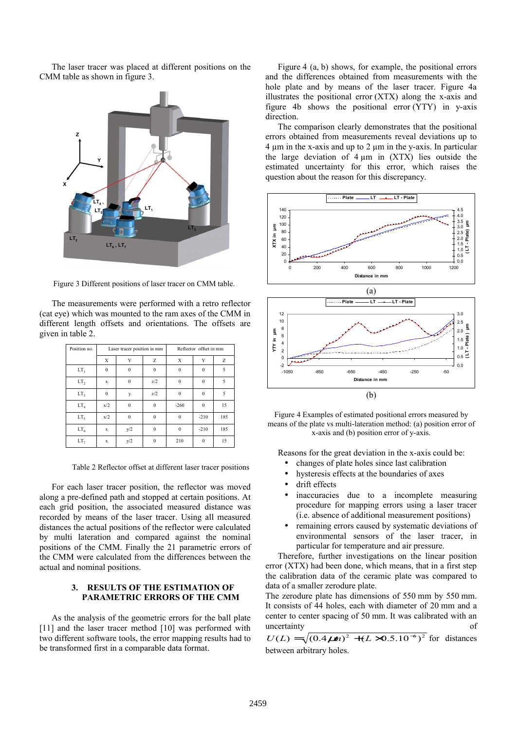The laser tracer was placed at different positions on the CMM table as shown in figure 3.



Figure 3 Different positions of laser tracer on CMM table.

The measurements were performed with a retro reflector (cat eye) which was mounted to the ram axes of the CMM in different length offsets and orientations. The offsets are given in table 2.

| Position no.                 | Laser tracer position in mm |              |              | Reflector offset in mm |          |     |
|------------------------------|-----------------------------|--------------|--------------|------------------------|----------|-----|
|                              | Х                           | Y            | Z            | Х                      |          | Z   |
| LT,                          | $\mathbf{0}$                | $\theta$     | $\Omega$     | $\theta$               | $\theta$ | 5   |
| LT,                          | $\mathbf x$                 | $\theta$     | z/2          | $\Omega$               | $\theta$ | 5   |
| LT,                          | $\theta$                    | y            | z/2          | $\theta$               | $\theta$ | 5   |
| $\mathop{\rm LT}\nolimits_4$ | x/2                         | $\mathbf{0}$ | $\theta$     | $-260$                 | $\theta$ | 15  |
| LT <sub>5</sub>              | x/2                         | $\theta$     | $\mathbf{0}$ | $\Omega$               | $-210$   | 185 |
| LT <sub>6</sub>              | $\mathbf x$                 | y/2          | $\theta$     | $\theta$               | $-210$   | 185 |
| LT,                          | x                           | y/2          | $\theta$     | 210                    | $\theta$ | 15  |

Table 2 Reflector offset at different laser tracer positions

For each laser tracer position, the reflector was moved along a pre-defined path and stopped at certain positions. At each grid position, the associated measured distance was recorded by means of the laser tracer. Using all measured distances the actual positions of the reflector were calculated by multi lateration and compared against the nominal positions of the CMM. Finally the 21 parametric errors of the CMM were calculated from the differences between the actual and nominal positions.

# **3. RESULTS OF THE ESTIMATION OF PARAMETRIC ERRORS OF THE CMM**

As the analysis of the geometric errors for the ball plate [11] and the laser tracer method [10] was performed with two different software tools, the error mapping results had to be transformed first in a comparable data format.

Figure 4 (a, b) shows, for example, the positional errors and the differences obtained from measurements with the hole plate and by means of the laser tracer. Figure 4a illustrates the positional error (XTX) along the x-axis and figure 4b shows the positional error (YTY) in y-axis direction.

The comparison clearly demonstrates that the positional errors obtained from measurements reveal deviations up to  $4 \mu m$  in the x-axis and up to  $2 \mu m$  in the y-axis. In particular the large deviation of  $4 \mu m$  in  $(XTX)$  lies outside the estimated uncertainty for this error, which raises the question about the reason for this discrepancy.





Reasons for the great deviation in the x-axis could be:

- changes of plate holes since last calibration
- hysteresis effects at the boundaries of axes
- drift effects
- inaccuracies due to a incomplete measuring procedure for mapping errors using a laser tracer (i.e. absence of additional measurement positions)
- remaining errors caused by systematic deviations of environmental sensors of the laser tracer, in particular for temperature and air pressure.

Therefore, further investigations on the linear position error (XTX) had been done, which means, that in a first step the calibration data of the ceramic plate was compared to data of a smaller zerodure plate.

The zerodure plate has dimensions of 550 mm by 550 mm. It consists of 44 holes, each with diameter of 20 mm and a center to center spacing of 50 mm. It was calibrated with an uncertainty of

 $U(L) = \sqrt{(0.4 \mu m)^2 + (L \times 0.5.10^{-6})^2}$  for distances between arbitrary holes.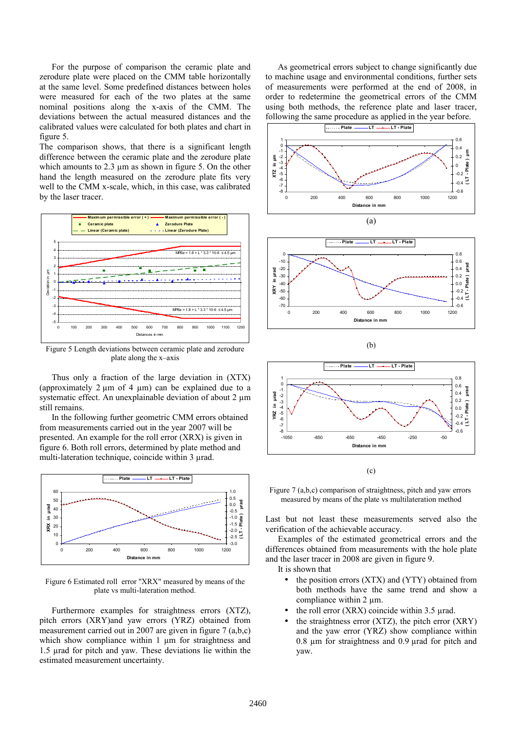For the purpose of comparison the ceramic plate and zerodure plate were placed on the CMM table horizontally at the same level. Some predefined distances between holes were measured for each of the two plates at the same nominal positions along the x-axis of the CMM. The deviations between the actual measured distances and the calibrated values were calculated for both plates and chart in figure 5.

The comparison shows, that there is a significant length difference between the ceramic plate and the zerodure plate which amounts to 2.3 µm as shown in figure 5. On the other hand the length measured on the zerodure plate fits very well to the CMM x-scale, which, in this case, was calibrated by the laser tracer.



Figure 5 Length deviations between ceramic plate and zerodure plate along the x–axis

Thus only a fraction of the large deviation in (XTX) (approximately  $2 \mu m$  of  $4 \mu m$ ) can be explained due to a systematic effect. An unexplainable deviation of about 2  $\mu$ m still remains.

In the following further geometric CMM errors obtained from measurements carried out in the year 2007 will be presented. An example for the roll error (XRX) is given in figure 6. Both roll errors, determined by plate method and multi-lateration technique, coincide within 3  $\mu$ rad.



Figure 6 Estimated roll error "XRX" measured by means of the plate vs multi-lateration method.

Furthermore examples for straightness errors (XTZ), pitch errors (XRY)and yaw errors (YRZ) obtained from measurement carried out in 2007 are given in figure 7 (a,b,c) which show compliance within 1  $\mu$ m for straightness and 1.5 µrad for pitch and yaw. These deviations lie within the estimated measurement uncertainty.

As geometrical errors subject to change significantly due to machine usage and environmental conditions, further sets of measurements were performed at the end of 2008, in order to redetermine the geometrical errors of the CMM using both methods, the reference plate and laser tracer, following the same procedure as applied in the year before.









 $(c)$ 

Figure 7 (a,b,c) comparison of straightness, pitch and yaw errors measured by means of the plate vs multilateration method

Last but not least these measurements served also the verification of the achievable accuracy.

Examples of the estimated geometrical errors and the differences obtained from measurements with the hole plate and the laser tracer in 2008 are given in figure 9.

It is shown that

- the position errors (XTX) and (YTY) obtained from both methods have the same trend and show a compliance within 2 µm.
- the roll error  $(XRX)$  coincide within 3.5  $\mu$ rad.
- the straightness error  $(XTZ)$ , the pitch error  $(XRY)$ and the yaw error (YRZ) show compliance within 0.8 µm for straightness and 0.9 µrad for pitch and yaw.